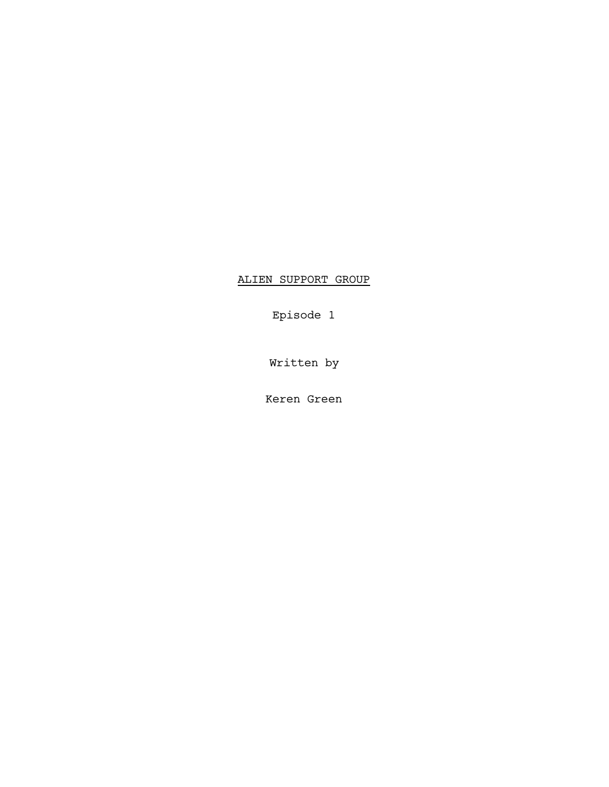## ALIEN SUPPORT GROUP

Episode 1

Written by

Keren Green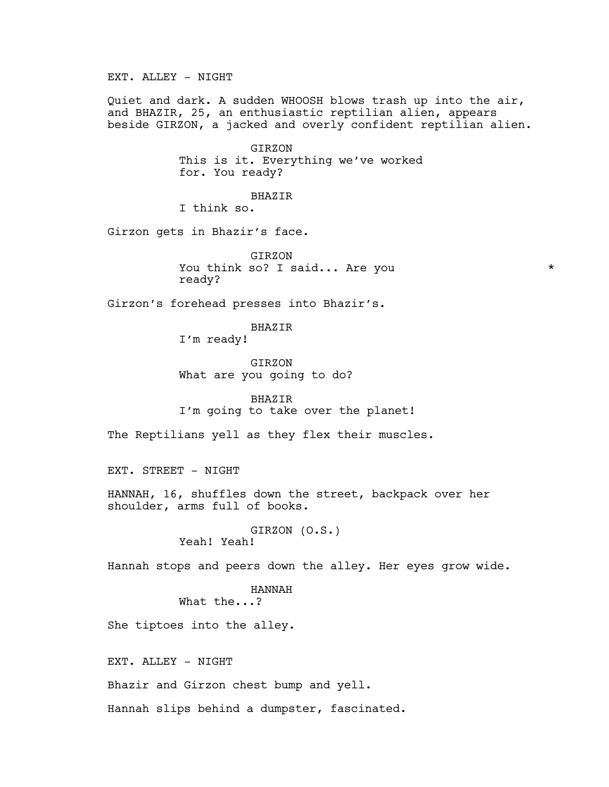EXT. ALLEY - NIGHT

Quiet and dark. A sudden WHOOSH blows trash up into the air, and BHAZIR, 25, an enthusiastic reptilian alien, appears beside GIRZON, a jacked and overly confident reptilian alien.

> GIRZON This is it. Everything we've worked for. You ready?

BHAZIR I think so.

Girzon gets in Bhazir's face.

GIRZON You think so? I said... Are you \* ready?

Girzon's forehead presses into Bhazir's.

BHAZIR I'm ready!

GIRZON What are you going to do?

BHAZIR I'm going to take over the planet!

The Reptilians yell as they flex their muscles.

EXT. STREET - NIGHT

HANNAH, 16, shuffles down the street, backpack over her shoulder, arms full of books.

> GIRZON (O.S.) Yeah! Yeah!

Hannah stops and peers down the alley. Her eyes grow wide.

HANNAH What the...?

She tiptoes into the alley.

EXT. ALLEY - NIGHT

Bhazir and Girzon chest bump and yell.

Hannah slips behind a dumpster, fascinated.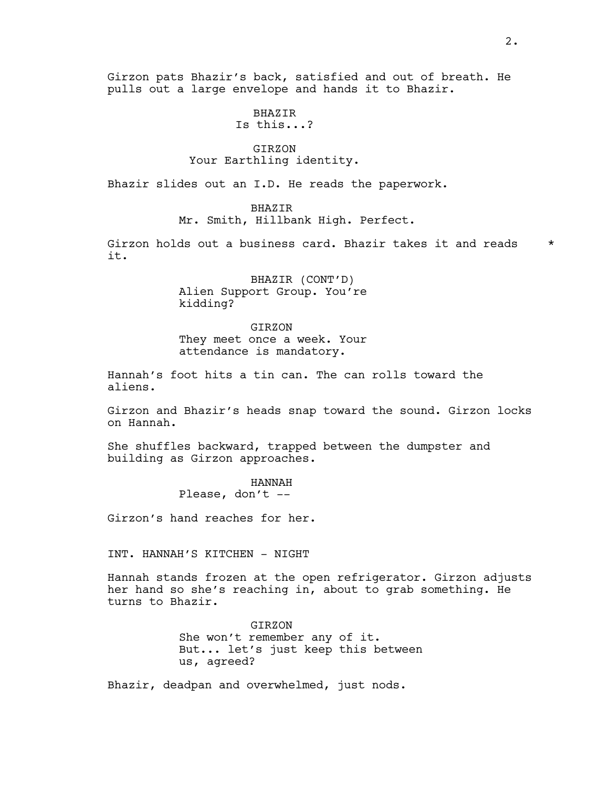Girzon pats Bhazir's back, satisfied and out of breath. He pulls out a large envelope and hands it to Bhazir.

> BHAZIR Is this...?

## GIRZON Your Earthling identity.

Bhazir slides out an I.D. He reads the paperwork.

## BHAZIR

Mr. Smith, Hillbank High. Perfect.

Girzon holds out a business card. Bhazir takes it and reads \* it.

> BHAZIR (CONT'D) Alien Support Group. You're kidding?

> GIRZON They meet once a week. Your attendance is mandatory.

Hannah's foot hits a tin can. The can rolls toward the aliens.

Girzon and Bhazir's heads snap toward the sound. Girzon locks on Hannah.

She shuffles backward, trapped between the dumpster and building as Girzon approaches.

> HANNAH Please, don't  $-$

Girzon's hand reaches for her.

INT. HANNAH'S KITCHEN - NIGHT

Hannah stands frozen at the open refrigerator. Girzon adjusts her hand so she's reaching in, about to grab something. He turns to Bhazir.

> GIRZON She won't remember any of it. But... let's just keep this between us, agreed?

Bhazir, deadpan and overwhelmed, just nods.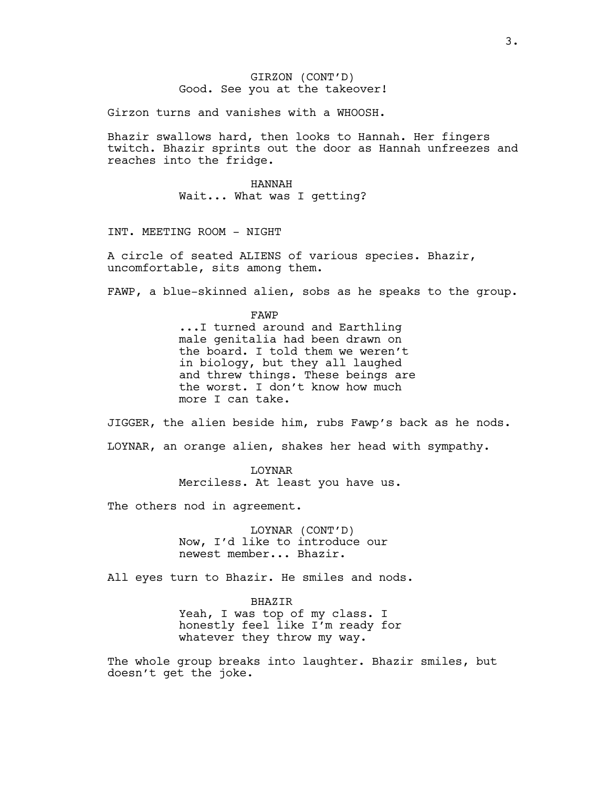## GIRZON (CONT'D) Good. See you at the takeover!

Girzon turns and vanishes with a WHOOSH.

Bhazir swallows hard, then looks to Hannah. Her fingers twitch. Bhazir sprints out the door as Hannah unfreezes and reaches into the fridge.

> HANNAH Wait... What was I getting?

INT. MEETING ROOM - NIGHT

A circle of seated ALIENS of various species. Bhazir, uncomfortable, sits among them.

FAWP, a blue-skinned alien, sobs as he speaks to the group.

FAWP ...I turned around and Earthling male genitalia had been drawn on the board. I told them we weren't in biology, but they all laughed and threw things. These beings are the worst. I don't know how much more I can take.

JIGGER, the alien beside him, rubs Fawp's back as he nods. LOYNAR, an orange alien, shakes her head with sympathy.

> LOYNAR Merciless. At least you have us.

The others nod in agreement.

LOYNAR (CONT'D) Now, I'd like to introduce our newest member... Bhazir.

All eyes turn to Bhazir. He smiles and nods.

BHAZIR Yeah, I was top of my class. I honestly feel like I'm ready for whatever they throw my way.

The whole group breaks into laughter. Bhazir smiles, but doesn't get the joke.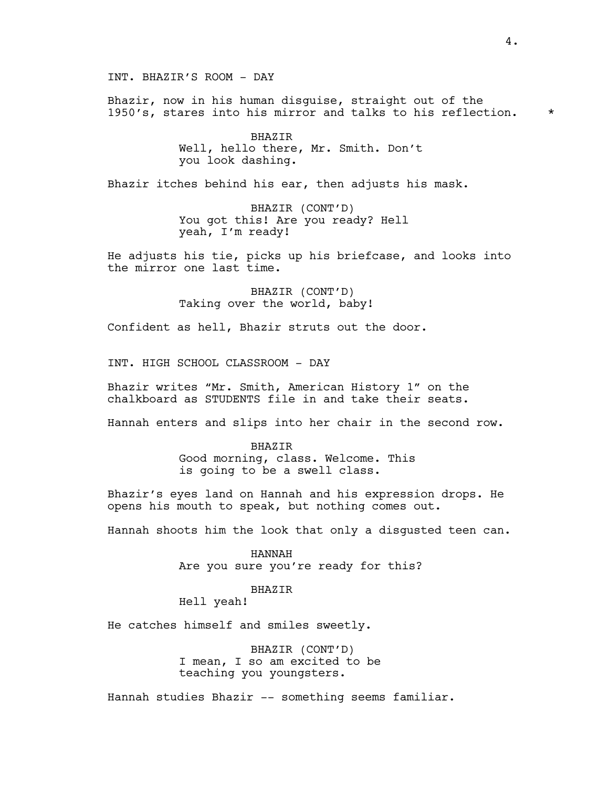INT. BHAZIR'S ROOM - DAY

Bhazir, now in his human disguise, straight out of the 1950's, stares into his mirror and talks to his reflection. \*

> BHAZIR Well, hello there, Mr. Smith. Don't you look dashing.

Bhazir itches behind his ear, then adjusts his mask.

BHAZIR (CONT'D) You got this! Are you ready? Hell yeah, I'm ready!

He adjusts his tie, picks up his briefcase, and looks into the mirror one last time.

> BHAZIR (CONT'D) Taking over the world, baby!

Confident as hell, Bhazir struts out the door.

INT. HIGH SCHOOL CLASSROOM - DAY

Bhazir writes "Mr. Smith, American History 1" on the chalkboard as STUDENTS file in and take their seats.

Hannah enters and slips into her chair in the second row.

BHAZIR Good morning, class. Welcome. This is going to be a swell class.

Bhazir's eyes land on Hannah and his expression drops. He opens his mouth to speak, but nothing comes out.

Hannah shoots him the look that only a disgusted teen can.

HANNAH Are you sure you're ready for this?

BHAZIR

Hell yeah!

He catches himself and smiles sweetly.

BHAZIR (CONT'D) I mean, I so am excited to be teaching you youngsters.

Hannah studies Bhazir -- something seems familiar.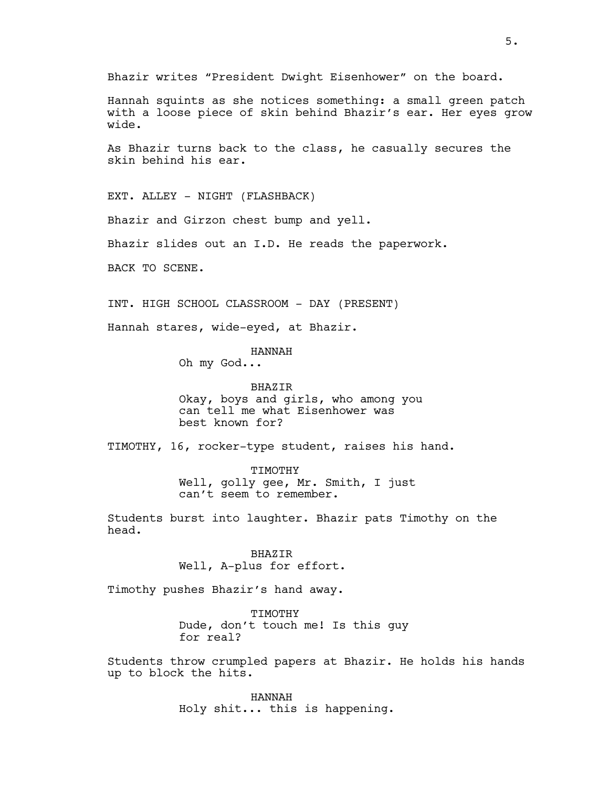Bhazir writes "President Dwight Eisenhower" on the board.

Hannah squints as she notices something: a small green patch with a loose piece of skin behind Bhazir's ear. Her eyes grow wide.

As Bhazir turns back to the class, he casually secures the skin behind his ear.

EXT. ALLEY - NIGHT (FLASHBACK) Bhazir and Girzon chest bump and yell. Bhazir slides out an I.D. He reads the paperwork. BACK TO SCENE.

INT. HIGH SCHOOL CLASSROOM - DAY (PRESENT)

Hannah stares, wide-eyed, at Bhazir.

HANNAH

Oh my God...

BHAZIR Okay, boys and girls, who among you can tell me what Eisenhower was best known for?

TIMOTHY, 16, rocker-type student, raises his hand.

TIMOTHY Well, golly gee, Mr. Smith, I just can't seem to remember.

Students burst into laughter. Bhazir pats Timothy on the head.

> BHAZIR Well, A-plus for effort.

Timothy pushes Bhazir's hand away.

TIMOTHY Dude, don't touch me! Is this guy for real?

Students throw crumpled papers at Bhazir. He holds his hands up to block the hits.

> HANNAH Holy shit... this is happening.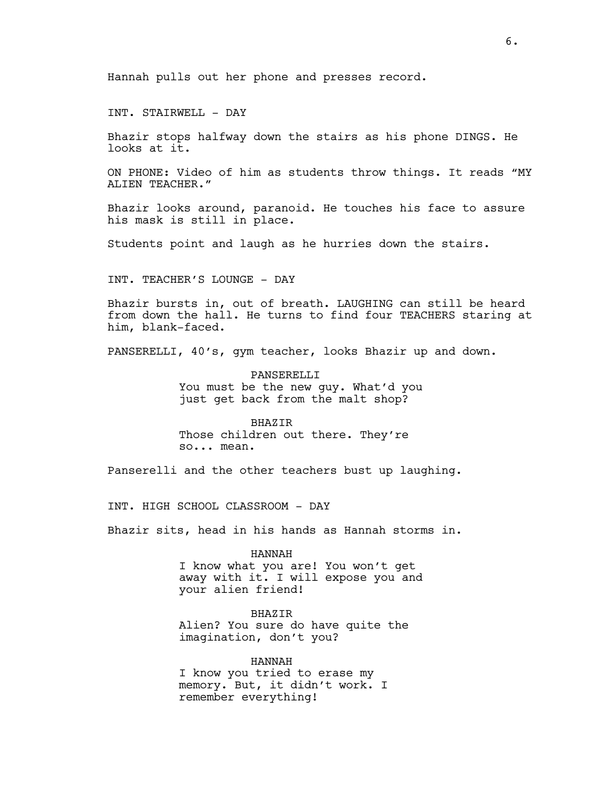Hannah pulls out her phone and presses record.

INT. STAIRWELL - DAY

Bhazir stops halfway down the stairs as his phone DINGS. He looks at it.

ON PHONE: Video of him as students throw things. It reads "MY ALIEN TEACHER."

Bhazir looks around, paranoid. He touches his face to assure his mask is still in place.

Students point and laugh as he hurries down the stairs.

INT. TEACHER'S LOUNGE - DAY

Bhazir bursts in, out of breath. LAUGHING can still be heard from down the hall. He turns to find four TEACHERS staring at him, blank-faced.

PANSERELLI, 40's, gym teacher, looks Bhazir up and down.

PANSERELLI You must be the new guy. What'd you just get back from the malt shop?

BHAZIR Those children out there. They're so... mean.

Panserelli and the other teachers bust up laughing.

INT. HIGH SCHOOL CLASSROOM - DAY

Bhazir sits, head in his hands as Hannah storms in.

HANNAH I know what you are! You won't get away with it. I will expose you and your alien friend!

BHAZIR Alien? You sure do have quite the imagination, don't you?

HANNAH I know you tried to erase my memory. But, it didn't work. I remember everything!